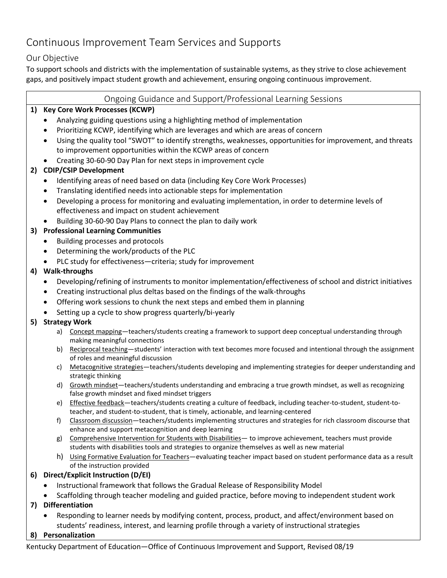## Continuous Improvement Team Services and Supports

## Our Objective

To support schools and districts with the implementation of sustainable systems, as they strive to close achievement gaps, and positively impact student growth and achievement, ensuring ongoing continuous improvement.

#### Ongoing Guidance and Support/Professional Learning Sessions

## **1) Key Core Work Processes (KCWP)**

- Analyzing guiding questions using a highlighting method of implementation
- Prioritizing KCWP, identifying which are leverages and which are areas of concern
- Using the quality tool "SWOT" to identify strengths, weaknesses, opportunities for improvement, and threats to improvement opportunities within the KCWP areas of concern
- Creating 30-60-90 Day Plan for next steps in improvement cycle

## **2) CDIP/CSIP Development**

- Identifying areas of need based on data (including Key Core Work Processes)
- Translating identified needs into actionable steps for implementation
- Developing a process for monitoring and evaluating implementation, in order to determine levels of effectiveness and impact on student achievement
- Building 30-60-90 Day Plans to connect the plan to daily work

## **3) Professional Learning Communities**

- Building processes and protocols
- Determining the work/products of the PLC
- PLC study for effectiveness—criteria; study for improvement

## **4) Walk-throughs**

- Developing/refining of instruments to monitor implementation/effectiveness of school and district initiatives
- Creating instructional plus deltas based on the findings of the walk-throughs
- Offering work sessions to chunk the next steps and embed them in planning
- Setting up a cycle to show progress quarterly/bi-yearly

## **5) Strategy Work**

- a) Concept mapping—teachers/students creating a framework to support deep conceptual understanding through making meaningful connections
- b) Reciprocal teaching—students' interaction with text becomes more focused and intentional through the assignment of roles and meaningful discussion
- c) Metacognitive strategies—teachers/students developing and implementing strategies for deeper understanding and strategic thinking
- d) Growth mindset—teachers/students understanding and embracing a true growth mindset, as well as recognizing false growth mindset and fixed mindset triggers
- e) Effective feedback—teachers/students creating a culture of feedback, including teacher-to-student, student-toteacher, and student-to-student, that is timely, actionable, and learning-centered
- f) Classroom discussion-teachers/students implementing structures and strategies for rich classroom discourse that enhance and support metacognition and deep learning
- g) Comprehensive Intervention for Students with Disabilities— to improve achievement, teachers must provide students with disabilities tools and strategies to organize themselves as well as new material
- h) Using Formative Evaluation for Teachers—evaluating teacher impact based on student performance data as a result of the instruction provided

## **6) Direct/Explicit Instruction (D/EI)**

- Instructional framework that follows the Gradual Release of Responsibility Model
- Scaffolding through teacher modeling and guided practice, before moving to independent student work

## **7) Differentiation**

• Responding to learner needs by modifying content, process, product, and affect/environment based on students' readiness, interest, and learning profile through a variety of instructional strategies

## **8) Personalization**